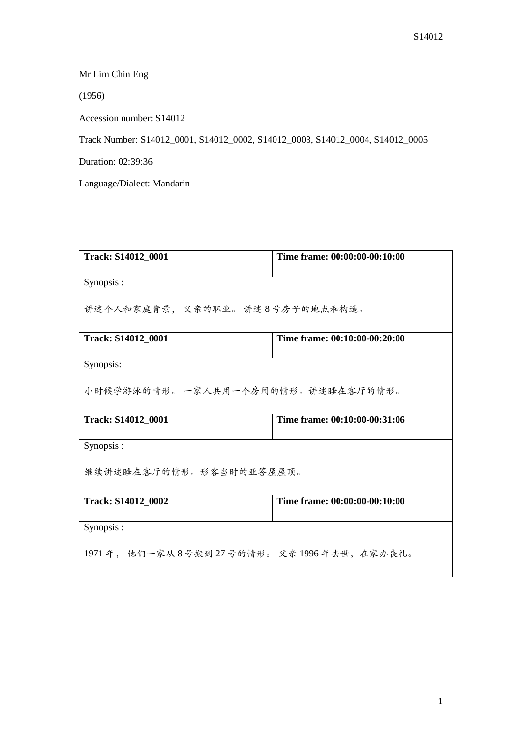Mr Lim Chin Eng

(1956)

Accession number: S14012

Track Number: S14012\_0001, S14012\_0002, S14012\_0003, S14012\_0004, S14012\_0005

Duration: 02:39:36

Language/Dialect: Mandarin

| Track: S14012_0001                       | Time frame: 00:00:00-00:10:00 |  |
|------------------------------------------|-------------------------------|--|
| Synopsis:                                |                               |  |
| 讲述个人和家庭背景, 父亲的职业。讲述8号房子的地点和构造。           |                               |  |
| Track: S14012_0001                       | Time frame: 00:10:00-00:20:00 |  |
| Synopsis:                                |                               |  |
| 小时候学游泳的情形。 一家人共用一个房间的情形。讲述睡在客厅的情形。       |                               |  |
| <b>Track: S14012 0001</b>                | Time frame: 00:10:00-00:31:06 |  |
| Synopsis:                                |                               |  |
| 继续讲述睡在客厅的情形。形容当时的亚答屋屋顶。                  |                               |  |
| <b>Track: S14012 0002</b>                | Time frame: 00:00:00-00:10:00 |  |
| Synopsis:                                |                               |  |
| 1971年, 他们一家从8号搬到27号的情形。父亲1996年去世, 在家办丧礼。 |                               |  |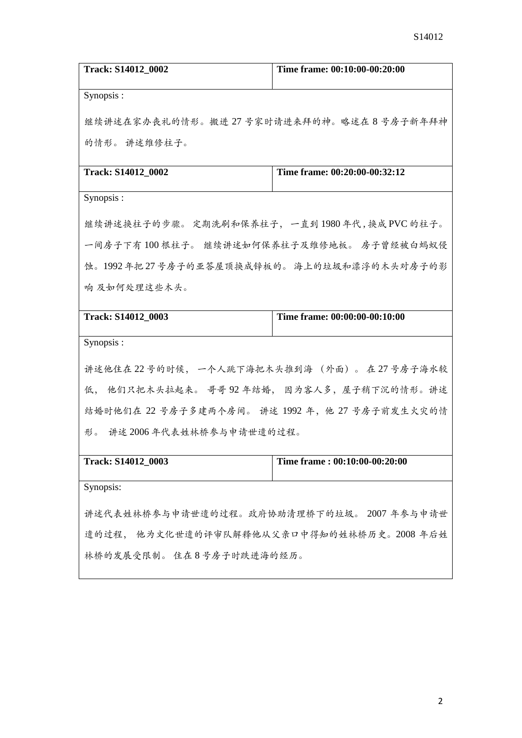| Track: S14012_0002                             | Time frame: 00:10:00-00:20:00              |  |
|------------------------------------------------|--------------------------------------------|--|
| Synopsis:                                      |                                            |  |
|                                                | 继续讲述在家办丧礼的情形。搬进 27 号家时请进来拜的神。略述在 8 号房子新年拜神 |  |
| 的情形。 讲述维修柱子。                                   |                                            |  |
| Track: S14012_0002                             | Time frame: 00:20:00-00:32:12              |  |
| Synopsis:                                      |                                            |  |
| 继续讲述换柱子的步骤。 定期洗刷和保养柱子, 一直到 1980 年代,换成 PVC 的柱子。 |                                            |  |
| 一间房子下有 100 根柱子。 继续讲述如何保养柱子及维修地板。 房子曾经被白蚂蚁侵     |                                            |  |
| 蚀。1992年把27号房子的亚答屋顶换成锌板的。 海上的垃圾和漂浮的木头对房子的影      |                                            |  |
| 响 及如何处理这些木头。                                   |                                            |  |
| Track: S14012_0003                             | Time frame: 00:00:00-00:10:00              |  |
| Synopsis:                                      |                                            |  |
| 讲述他住在22号的时候, 一个人跳下海把木头推到海 (外面)。 在27号房子海水较      |                                            |  |
| 低, 他们只把木头拉起来。 哥哥92年结婚, 因为客人多, 屋子稍下沉的情形。讲述      |                                            |  |
| 结婚时他们在 22 号房子多建两个房间。 讲述 1992 年,他 27 号房子前发生火灾的情 |                                            |  |
| 讲述 2006年代表姓林桥参与申请世遗的过程。<br>形。                  |                                            |  |
| Track: S14012_0003                             | Time frame: 00:10:00-00:20:00              |  |
| Synopsis:                                      |                                            |  |
| 讲述代表姓林桥参与申请世遗的过程。政府协助清理桥下的垃圾。 2007 年参与申请世      |                                            |  |
| 遗的过程, 他为文化世遗的评审队解释他从父亲口中得知的姓林桥历史。2008年后姓       |                                            |  |
| 林桥的发展受限制。住在8号房子时跌进海的经历。                        |                                            |  |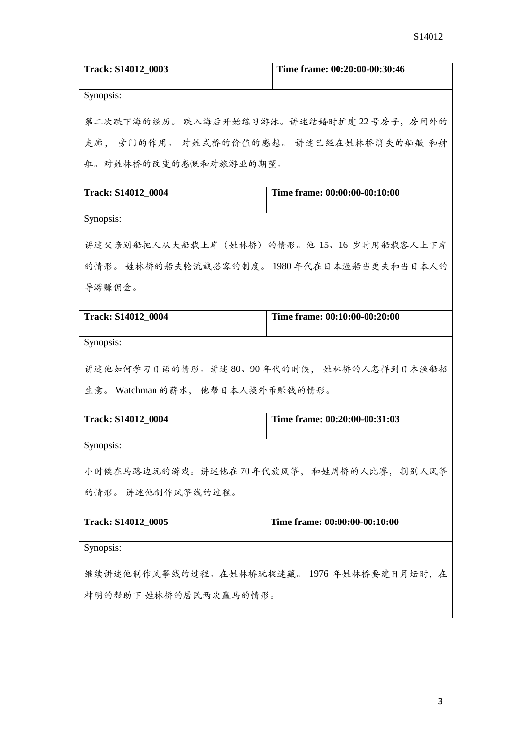| Track: S14012_0003                         | Time frame: 00:20:00-00:30:46 |  |
|--------------------------------------------|-------------------------------|--|
| Synopsis:                                  |                               |  |
| 第二次跌下海的经历。 跌入海后开始练习游泳。讲述结婚时扩建22号房子, 房间外的   |                               |  |
| 走廊, 旁门的作用。 对姓式桥的价值的感想。 讲述已经在姓林桥消失的舢舨 和舯    |                               |  |
| 舡。对姓林桥的改变的感慨和对旅游业的期望。                      |                               |  |
| Track: S14012_0004                         | Time frame: 00:00:00-00:10:00 |  |
| Synopsis:                                  |                               |  |
| 讲述父亲划船把人从大船载上岸(姓林桥)的情形。他 15、16 岁时用船载客人上下岸  |                               |  |
| 的情形。 姓林桥的船夫轮流载搭客的制度。 1980 年代在日本渔船当更夫和当日本人的 |                               |  |
| 导游赚佣金。                                     |                               |  |
| Track: S14012_0004                         | Time frame: 00:10:00-00:20:00 |  |
| Synopsis:                                  |                               |  |
| 讲述他如何学习日语的情形。讲述 80、90 年代的时候, 姓林桥的人怎样到日本渔船招 |                               |  |
| 生意。 Watchman 的薪水, 他帮日本人换外币赚钱的情形。           |                               |  |
| Track: S14012_0004                         | Time frame: 00:20:00-00:31:03 |  |
| Synopsis:                                  |                               |  |
| 小时候在马路边玩的游戏。讲述他在70年代放风筝, 和姓周桥的人比赛, 割别人风筝   |                               |  |
| 的情形。 讲述他制作风筝线的过程。                          |                               |  |
|                                            |                               |  |
| Track: S14012_0005                         | Time frame: 00:00:00-00:10:00 |  |
| Synopsis:                                  |                               |  |
| 继续讲述他制作风筝线的过程。在姓林桥玩捉迷藏。 1976 年姓林桥要建日月坛时, 在 |                               |  |
| 神明的帮助下 姓林桥的居民两次赢马的情形。                      |                               |  |
|                                            |                               |  |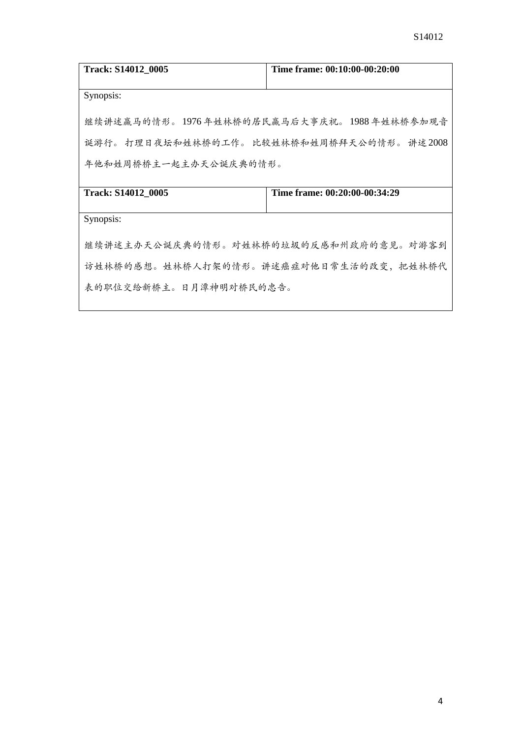| <b>Track: S14012 0005</b>                                                                    | Time frame: 00:10:00-00:20:00 |  |
|----------------------------------------------------------------------------------------------|-------------------------------|--|
| Synopsis:                                                                                    |                               |  |
| 继续讲述赢马的情形。 1976 年姓林桥的居民赢马后大事庆祝。 1988 年姓林桥参加观音<br>诞游行。 打理日夜坛和姓林桥的工作。 比较姓林桥和姓周桥拜天公的情形。 讲述 2008 |                               |  |
| 年他和姓周桥桥主一起主办天公诞庆典的情形。                                                                        |                               |  |
| Track: S14012_0005                                                                           | Time frame: 00:20:00-00:34:29 |  |
| Synopsis:                                                                                    |                               |  |
| 继续讲述主办天公诞庆典的情形。对姓林桥的垃圾的反感和州政府的意见。对游客到                                                        |                               |  |
| 访姓林桥的感想。姓林桥人打架的情形。讲述癌症对他日常生活的改变,把姓林桥代                                                        |                               |  |
| 表的职位交给新桥主。日月潭神明对桥民的忠告。                                                                       |                               |  |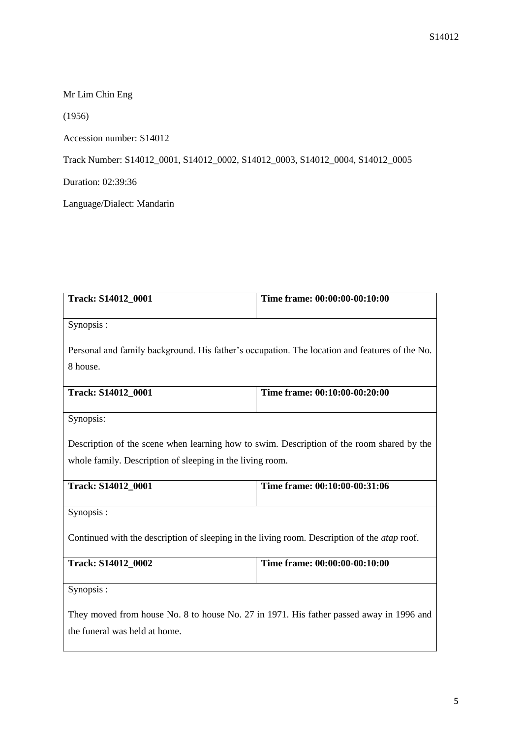Mr Lim Chin Eng

(1956)

Accession number: S14012

Track Number: S14012\_0001, S14012\_0002, S14012\_0003, S14012\_0004, S14012\_0005

Duration: 02:39:36

Language/Dialect: Mandarin

| Track: S14012_0001                                                                                  | Time frame: 00:00:00-00:10:00 |  |
|-----------------------------------------------------------------------------------------------------|-------------------------------|--|
| Synopsis:                                                                                           |                               |  |
| Personal and family background. His father's occupation. The location and features of the No.       |                               |  |
| 8 house.                                                                                            |                               |  |
| Track: S14012_0001                                                                                  | Time frame: 00:10:00-00:20:00 |  |
| Synopsis:                                                                                           |                               |  |
| Description of the scene when learning how to swim. Description of the room shared by the           |                               |  |
| whole family. Description of sleeping in the living room.                                           |                               |  |
| Track: S14012_0001                                                                                  | Time frame: 00:10:00-00:31:06 |  |
| Synopsis:                                                                                           |                               |  |
| Continued with the description of sleeping in the living room. Description of the <i>atap</i> roof. |                               |  |
| Track: S14012_0002                                                                                  | Time frame: 00:00:00-00:10:00 |  |
| Synopsis:                                                                                           |                               |  |
| They moved from house No. 8 to house No. 27 in 1971. His father passed away in 1996 and             |                               |  |
| the funeral was held at home.                                                                       |                               |  |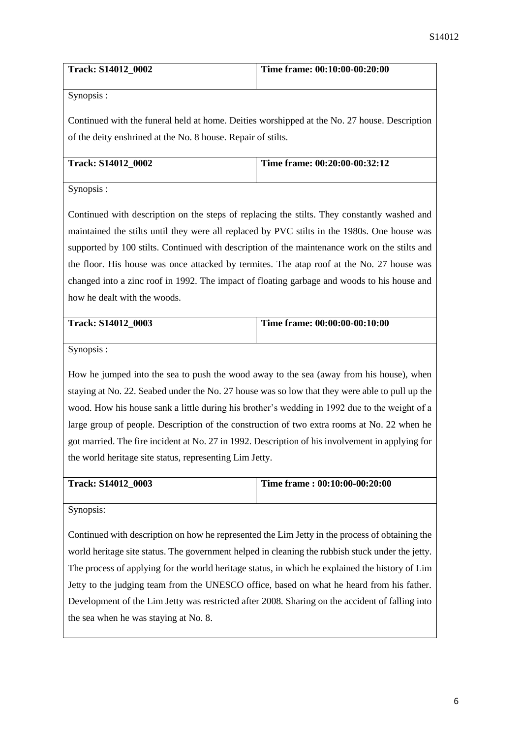| <b>Track: S14012 0002</b> | Time frame: 00:10:00-00:20:00 |
|---------------------------|-------------------------------|
|                           |                               |

Synopsis :

Continued with the funeral held at home. Deities worshipped at the No. 27 house. Description of the deity enshrined at the No. 8 house. Repair of stilts.

| Track: S14012 0002 | Time frame: 00:20:00-00:32:12 |
|--------------------|-------------------------------|
|                    |                               |

Synopsis :

Continued with description on the steps of replacing the stilts. They constantly washed and maintained the stilts until they were all replaced by PVC stilts in the 1980s. One house was supported by 100 stilts. Continued with description of the maintenance work on the stilts and the floor. His house was once attacked by termites. The atap roof at the No. 27 house was changed into a zinc roof in 1992. The impact of floating garbage and woods to his house and how he dealt with the woods.

| <b>Track: S14012 0003</b> | Time frame: $00:00:00-00:10:00$ |
|---------------------------|---------------------------------|
|                           |                                 |

Synopsis :

How he jumped into the sea to push the wood away to the sea (away from his house), when staying at No. 22. Seabed under the No. 27 house was so low that they were able to pull up the wood. How his house sank a little during his brother's wedding in 1992 due to the weight of a large group of people. Description of the construction of two extra rooms at No. 22 when he got married. The fire incident at No. 27 in 1992. Description of his involvement in applying for the world heritage site status, representing Lim Jetty.

| <b>Track: S14012 0003</b> | Time frame : $00:10:00-00:20:00$ |
|---------------------------|----------------------------------|
|                           |                                  |

Synopsis:

Continued with description on how he represented the Lim Jetty in the process of obtaining the world heritage site status. The government helped in cleaning the rubbish stuck under the jetty. The process of applying for the world heritage status, in which he explained the history of Lim Jetty to the judging team from the UNESCO office, based on what he heard from his father. Development of the Lim Jetty was restricted after 2008. Sharing on the accident of falling into the sea when he was staying at No. 8.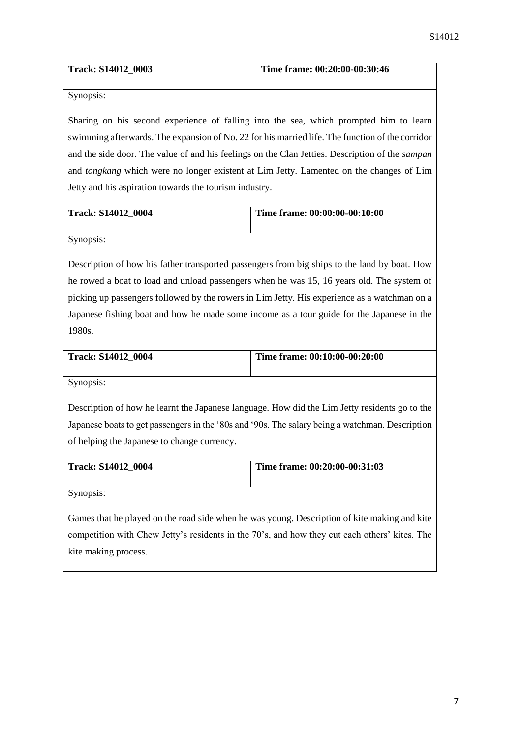| <b>Track: S14012 0003</b> | Time frame: $00:20:00-00:30:46$ |
|---------------------------|---------------------------------|
|                           |                                 |

Synopsis:

Sharing on his second experience of falling into the sea, which prompted him to learn swimming afterwards. The expansion of No. 22 for his married life. The function of the corridor and the side door. The value of and his feelings on the Clan Jetties. Description of the *sampan*  and *tongkang* which were no longer existent at Lim Jetty. Lamented on the changes of Lim Jetty and his aspiration towards the tourism industry.

| <b>Track: S14012 0004</b> | Time frame: 00:00:00-00:10:00 |
|---------------------------|-------------------------------|
|                           |                               |

Synopsis:

Description of how his father transported passengers from big ships to the land by boat. How he rowed a boat to load and unload passengers when he was 15, 16 years old. The system of picking up passengers followed by the rowers in Lim Jetty. His experience as a watchman on a Japanese fishing boat and how he made some income as a tour guide for the Japanese in the 1980s.

| <b>Track: S14012 0004</b> | Time frame: 00:10:00-00:20:00 |
|---------------------------|-------------------------------|
|                           |                               |

Synopsis:

Description of how he learnt the Japanese language. How did the Lim Jetty residents go to the Japanese boats to get passengers in the '80s and '90s. The salary being a watchman. Description of helping the Japanese to change currency.

| <b>Track: S14012 0004</b> | Time frame: 00:20:00-00:31:03 |
|---------------------------|-------------------------------|
|                           |                               |

Synopsis:

Games that he played on the road side when he was young. Description of kite making and kite competition with Chew Jetty's residents in the 70's, and how they cut each others' kites. The kite making process.